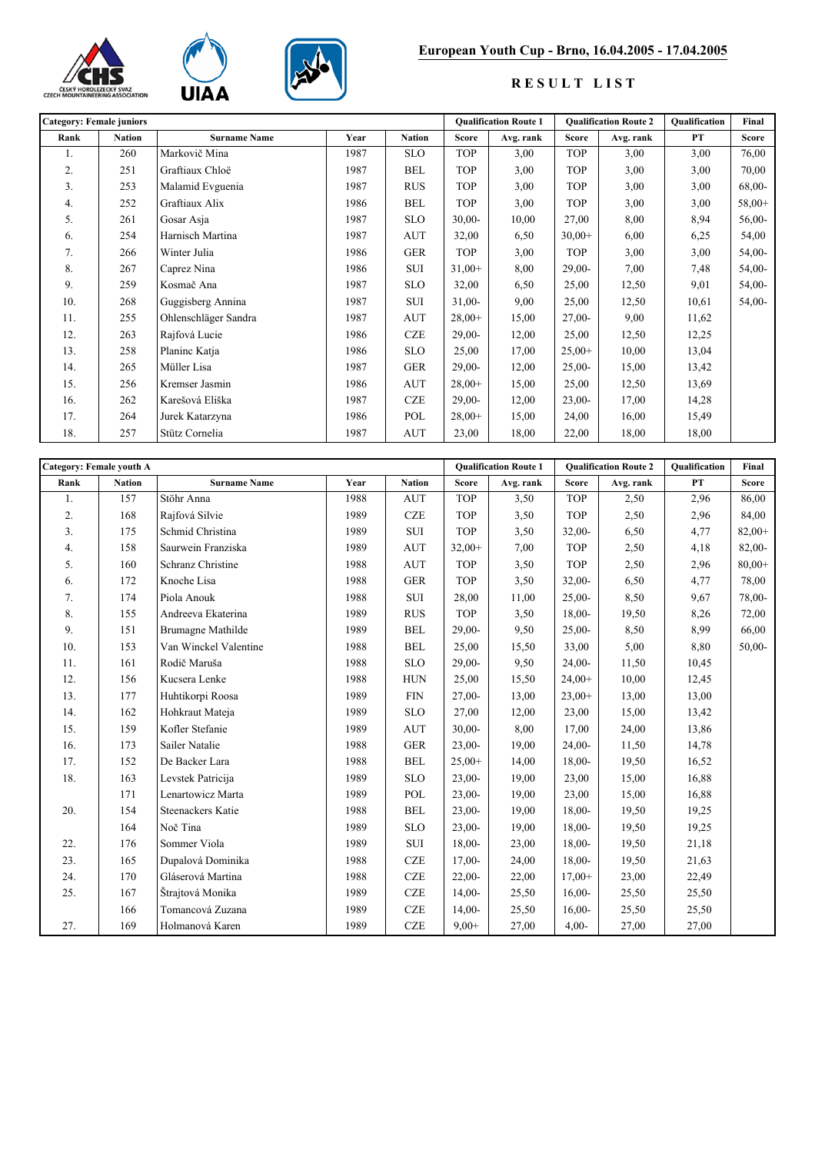





## **European Youth Cup - Brno, 16.04.2005 - 17.04.2005**

## **R E S U L T L I S T**

| <b>Category: Female juniors</b> |               |                      |      |               | <b>Qualification Route 1</b> |           | <b>Qualification Route 2</b> |           | <b>Oualification</b> | Final        |
|---------------------------------|---------------|----------------------|------|---------------|------------------------------|-----------|------------------------------|-----------|----------------------|--------------|
| Rank                            | <b>Nation</b> | <b>Surname Name</b>  | Year | <b>Nation</b> | <b>Score</b>                 | Avg. rank | <b>Score</b>                 | Avg. rank | <b>PT</b>            | <b>Score</b> |
| 1.                              | 260           | Markovič Mina        | 1987 | <b>SLO</b>    | <b>TOP</b>                   | 3,00      | <b>TOP</b>                   | 3,00      | 3,00                 | 76,00        |
| 2.                              | 251           | Graftiaux Chloë      | 1987 | <b>BEL</b>    | <b>TOP</b>                   | 3,00      | <b>TOP</b>                   | 3,00      | 3,00                 | 70,00        |
| 3.                              | 253           | Malamid Evguenia     | 1987 | <b>RUS</b>    | <b>TOP</b>                   | 3,00      | <b>TOP</b>                   | 3,00      | 3,00                 | $68,00-$     |
| 4.                              | 252           | Graftiaux Alix       | 1986 | <b>BEL</b>    | <b>TOP</b>                   | 3,00      | <b>TOP</b>                   | 3,00      | 3,00                 | $58,00+$     |
| 5.                              | 261           | Gosar Asja           | 1987 | <b>SLO</b>    | $30,00-$                     | 10,00     | 27,00                        | 8,00      | 8,94                 | $56,00-$     |
| 6.                              | 254           | Harnisch Martina     | 1987 | <b>AUT</b>    | 32,00                        | 6,50      | $30,00+$                     | 6,00      | 6,25                 | 54,00        |
| 7.                              | 266           | Winter Julia         | 1986 | <b>GER</b>    | <b>TOP</b>                   | 3,00      | <b>TOP</b>                   | 3,00      | 3,00                 | $54,00-$     |
| 8.                              | 267           | Caprez Nina          | 1986 | <b>SUI</b>    | $31,00+$                     | 8,00      | $29,00-$                     | 7,00      | 7,48                 | $54,00-$     |
| 9.                              | 259           | Kosmač Ana           | 1987 | <b>SLO</b>    | 32,00                        | 6,50      | 25,00                        | 12,50     | 9,01                 | $54,00-$     |
| 10.                             | 268           | Guggisberg Annina    | 1987 | <b>SUI</b>    | $31,00-$                     | 9,00      | 25,00                        | 12,50     | 10,61                | $54,00-$     |
| 11.                             | 255           | Ohlenschläger Sandra | 1987 | <b>AUT</b>    | $28,00+$                     | 15,00     | $27,00-$                     | 9,00      | 11,62                |              |
| 12.                             | 263           | Rajfová Lucie        | 1986 | <b>CZE</b>    | $29,00-$                     | 12,00     | 25,00                        | 12,50     | 12,25                |              |
| 13.                             | 258           | Planinc Katja        | 1986 | <b>SLO</b>    | 25,00                        | 17,00     | $25,00+$                     | 10,00     | 13,04                |              |
| 14.                             | 265           | Müller Lisa          | 1987 | <b>GER</b>    | $29,00-$                     | 12,00     | $25,00-$                     | 15,00     | 13,42                |              |
| 15.                             | 256           | Kremser Jasmin       | 1986 | <b>AUT</b>    | $28,00+$                     | 15,00     | 25,00                        | 12,50     | 13,69                |              |
| 16.                             | 262           | Karešová Eliška      | 1987 | <b>CZE</b>    | $29,00-$                     | 12,00     | $23,00-$                     | 17,00     | 14,28                |              |
| 17.                             | 264           | Jurek Katarzyna      | 1986 | POL           | $28,00+$                     | 15,00     | 24,00                        | 16,00     | 15,49                |              |
| 18.                             | 257           | Stütz Cornelia       | 1987 | <b>AUT</b>    | 23,00                        | 18,00     | 22,00                        | 18,00     | 18,00                |              |

| Category: Female youth A |               |                          |      |               | <b>Oualification Route 1</b> |           | <b>Oualification Route 2</b> |           | <b>Qualification</b> | Final        |
|--------------------------|---------------|--------------------------|------|---------------|------------------------------|-----------|------------------------------|-----------|----------------------|--------------|
| Rank                     | <b>Nation</b> | <b>Surname Name</b>      | Year | <b>Nation</b> | <b>Score</b>                 | Avg. rank | <b>Score</b>                 | Avg. rank | <b>PT</b>            | <b>Score</b> |
| 1.                       | 157           | Stöhr Anna               | 1988 | <b>AUT</b>    | <b>TOP</b>                   | 3,50      | <b>TOP</b>                   | 2,50      | 2,96                 | 86,00        |
| 2.                       | 168           | Rajfová Silvie           | 1989 | <b>CZE</b>    | <b>TOP</b>                   | 3,50      | <b>TOP</b>                   | 2,50      | 2,96                 | 84,00        |
| 3.                       | 175           | Schmid Christina         | 1989 | ${\rm SUI}$   | <b>TOP</b>                   | 3,50      | $32,00-$                     | 6,50      | 4,77                 | $82,00+$     |
| 4.                       | 158           | Saurwein Franziska       | 1989 | <b>AUT</b>    | $32,00+$                     | 7,00      | <b>TOP</b>                   | 2,50      | 4,18                 | 82,00-       |
| 5.                       | 160           | Schranz Christine        | 1988 | <b>AUT</b>    | <b>TOP</b>                   | 3,50      | <b>TOP</b>                   | 2,50      | 2,96                 | $80,00+$     |
| 6.                       | 172           | Knoche Lisa              | 1988 | <b>GER</b>    | <b>TOP</b>                   | 3,50      | $32,00-$                     | 6,50      | 4,77                 | 78,00        |
| 7.                       | 174           | Piola Anouk              | 1988 | SUI           | 28,00                        | 11,00     | $25,00-$                     | 8,50      | 9,67                 | 78,00-       |
| 8.                       | 155           | Andreeva Ekaterina       | 1989 | <b>RUS</b>    | <b>TOP</b>                   | 3,50      | $18,00-$                     | 19,50     | 8,26                 | 72,00        |
| 9.                       | 151           | <b>Brumagne Mathilde</b> | 1989 | <b>BEL</b>    | $29,00-$                     | 9,50      | $25,00-$                     | 8,50      | 8,99                 | 66,00        |
| 10.                      | 153           | Van Winckel Valentine    | 1988 | <b>BEL</b>    | 25,00                        | 15,50     | 33,00                        | 5,00      | 8,80                 | $50,00-$     |
| 11.                      | 161           | Rodič Maruša             | 1988 | <b>SLO</b>    | $29,00-$                     | 9,50      | $24,00-$                     | 11,50     | 10,45                |              |
| 12.                      | 156           | Kucsera Lenke            | 1988 | <b>HUN</b>    | 25,00                        | 15,50     | $24,00+$                     | 10,00     | 12,45                |              |
| 13.                      | 177           | Huhtikorpi Roosa         | 1989 | <b>FIN</b>    | $27,00-$                     | 13,00     | $23,00+$                     | 13,00     | 13,00                |              |
| 14.                      | 162           | Hohkraut Mateja          | 1989 | <b>SLO</b>    | 27,00                        | 12,00     | 23,00                        | 15,00     | 13,42                |              |
| 15.                      | 159           | Kofler Stefanie          | 1989 | <b>AUT</b>    | $30,00-$                     | 8,00      | 17,00                        | 24,00     | 13,86                |              |
| 16.                      | 173           | Sailer Natalie           | 1988 | <b>GER</b>    | $23,00-$                     | 19,00     | $24,00-$                     | 11,50     | 14,78                |              |
| 17.                      | 152           | De Backer Lara           | 1988 | <b>BEL</b>    | $25,00+$                     | 14,00     | $18,00-$                     | 19,50     | 16,52                |              |
| 18.                      | 163           | Levstek Patricija        | 1989 | <b>SLO</b>    | $23,00-$                     | 19,00     | 23,00                        | 15,00     | 16,88                |              |
|                          | 171           | Lenartowicz Marta        | 1989 | POL           | $23,00-$                     | 19,00     | 23,00                        | 15,00     | 16,88                |              |
| 20.                      | 154           | Steenackers Katie        | 1988 | <b>BEL</b>    | $23,00-$                     | 19,00     | $18,00-$                     | 19,50     | 19,25                |              |
|                          | 164           | Noč Tina                 | 1989 | <b>SLO</b>    | $23,00-$                     | 19,00     | $18,00-$                     | 19,50     | 19,25                |              |
| 22.                      | 176           | Sommer Viola             | 1989 | <b>SUI</b>    | $18,00-$                     | 23,00     | $18,00-$                     | 19,50     | 21,18                |              |
| 23.                      | 165           | Dupalová Dominika        | 1988 | <b>CZE</b>    | $17,00-$                     | 24,00     | $18,00-$                     | 19,50     | 21,63                |              |
| 24.                      | 170           | Gláserová Martina        | 1988 | <b>CZE</b>    | $22,00-$                     | 22,00     | $17,00+$                     | 23,00     | 22,49                |              |
| 25.                      | 167           | Štrajtová Monika         | 1989 | <b>CZE</b>    | $14,00-$                     | 25,50     | $16,00-$                     | 25,50     | 25,50                |              |
|                          | 166           | Tomancová Zuzana         | 1989 | <b>CZE</b>    | $14,00-$                     | 25,50     | $16,00-$                     | 25,50     | 25,50                |              |
| 27.                      | 169           | Holmanová Karen          | 1989 | <b>CZE</b>    | $9,00+$                      | 27,00     | $4,00-$                      | 27,00     | 27,00                |              |